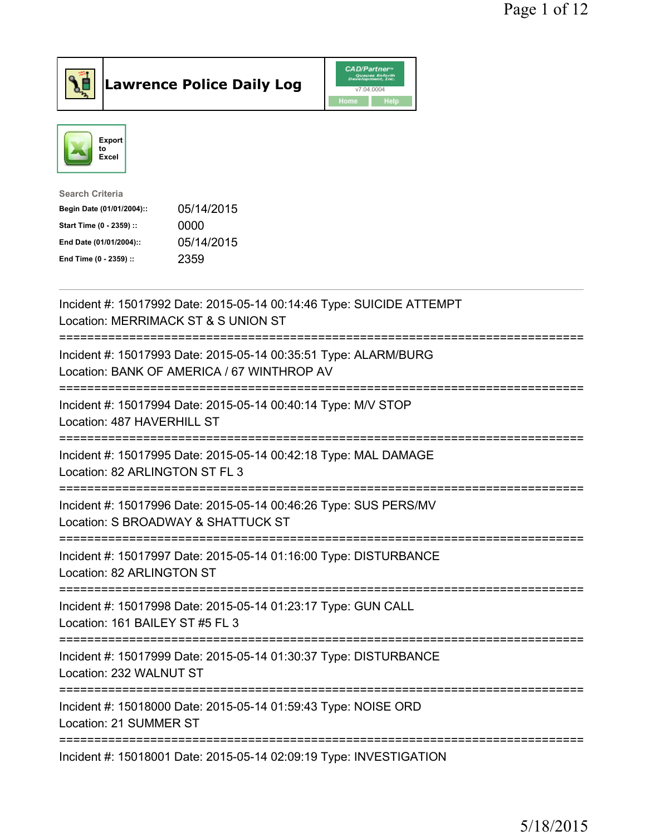

Lawrence Police Daily Log CAD/Partners



| <b>Search Criteria</b>    |            |
|---------------------------|------------|
| Begin Date (01/01/2004):: | 05/14/2015 |
| Start Time (0 - 2359) ::  | 0000       |
| End Date (01/01/2004)::   | 05/14/2015 |
| End Time (0 - 2359) ::    | 2359       |
|                           |            |

| Incident #: 15017992 Date: 2015-05-14 00:14:46 Type: SUICIDE ATTEMPT<br>Location: MERRIMACK ST & S UNION ST                          |
|--------------------------------------------------------------------------------------------------------------------------------------|
| Incident #: 15017993 Date: 2015-05-14 00:35:51 Type: ALARM/BURG<br>Location: BANK OF AMERICA / 67 WINTHROP AV<br>------------------- |
| Incident #: 15017994 Date: 2015-05-14 00:40:14 Type: M/V STOP<br>Location: 487 HAVERHILL ST                                          |
| Incident #: 15017995 Date: 2015-05-14 00:42:18 Type: MAL DAMAGE<br>Location: 82 ARLINGTON ST FL 3                                    |
| Incident #: 15017996 Date: 2015-05-14 00:46:26 Type: SUS PERS/MV<br>Location: S BROADWAY & SHATTUCK ST                               |
| Incident #: 15017997 Date: 2015-05-14 01:16:00 Type: DISTURBANCE<br>Location: 82 ARLINGTON ST                                        |
| Incident #: 15017998 Date: 2015-05-14 01:23:17 Type: GUN CALL<br>Location: 161 BAILEY ST #5 FL 3                                     |
| Incident #: 15017999 Date: 2015-05-14 01:30:37 Type: DISTURBANCE<br>Location: 232 WALNUT ST                                          |
| Incident #: 15018000 Date: 2015-05-14 01:59:43 Type: NOISE ORD<br>Location: 21 SUMMER ST                                             |
| Incident #: 15018001 Date: 2015-05-14 02:09:19 Type: INVESTIGATION                                                                   |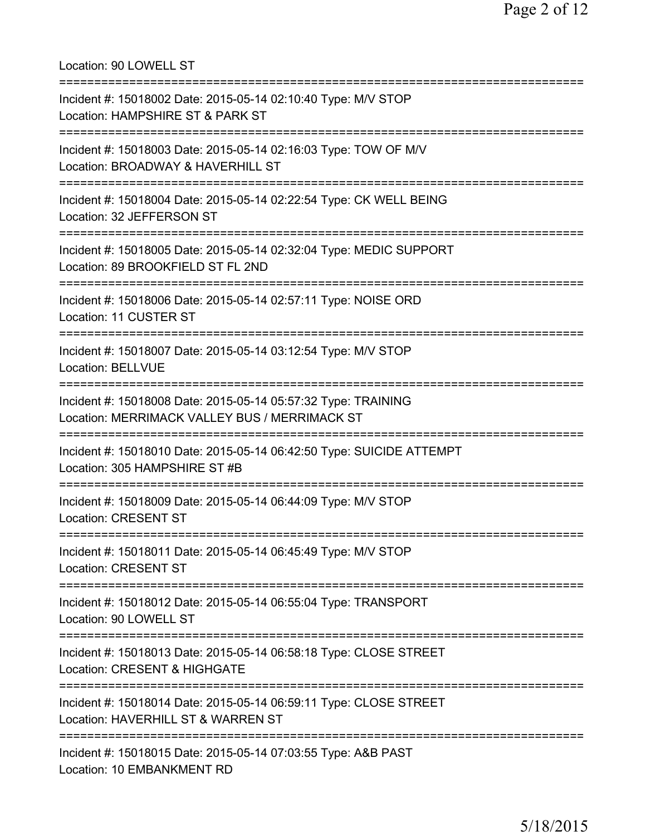| Location: 90 LOWELL ST<br>====================================                                                       |
|----------------------------------------------------------------------------------------------------------------------|
| Incident #: 15018002 Date: 2015-05-14 02:10:40 Type: M/V STOP<br>Location: HAMPSHIRE ST & PARK ST                    |
| Incident #: 15018003 Date: 2015-05-14 02:16:03 Type: TOW OF M/V<br>Location: BROADWAY & HAVERHILL ST                 |
| Incident #: 15018004 Date: 2015-05-14 02:22:54 Type: CK WELL BEING<br>Location: 32 JEFFERSON ST                      |
| Incident #: 15018005 Date: 2015-05-14 02:32:04 Type: MEDIC SUPPORT<br>Location: 89 BROOKFIELD ST FL 2ND              |
| ========================<br>Incident #: 15018006 Date: 2015-05-14 02:57:11 Type: NOISE ORD<br>Location: 11 CUSTER ST |
| Incident #: 15018007 Date: 2015-05-14 03:12:54 Type: M/V STOP<br><b>Location: BELLVUE</b>                            |
| Incident #: 15018008 Date: 2015-05-14 05:57:32 Type: TRAINING<br>Location: MERRIMACK VALLEY BUS / MERRIMACK ST       |
| Incident #: 15018010 Date: 2015-05-14 06:42:50 Type: SUICIDE ATTEMPT<br>Location: 305 HAMPSHIRE ST #B                |
| Incident #: 15018009 Date: 2015-05-14 06:44:09 Type: M/V STOP<br><b>Location: CRESENT ST</b>                         |
| Incident #: 15018011 Date: 2015-05-14 06:45:49 Type: M/V STOP<br><b>Location: CRESENT ST</b>                         |
| Incident #: 15018012 Date: 2015-05-14 06:55:04 Type: TRANSPORT<br>Location: 90 LOWELL ST                             |
| Incident #: 15018013 Date: 2015-05-14 06:58:18 Type: CLOSE STREET<br>Location: CRESENT & HIGHGATE                    |
| Incident #: 15018014 Date: 2015-05-14 06:59:11 Type: CLOSE STREET<br>Location: HAVERHILL ST & WARREN ST              |
| Incident #: 15018015 Date: 2015-05-14 07:03:55 Type: A&B PAST<br>Location: 10 EMBANKMENT RD                          |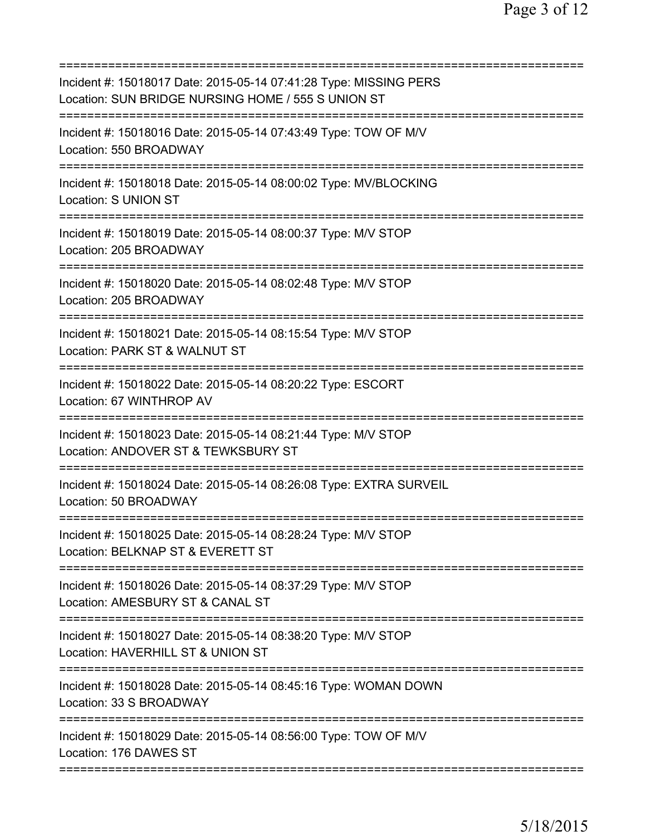| Incident #: 15018017 Date: 2015-05-14 07:41:28 Type: MISSING PERS<br>Location: SUN BRIDGE NURSING HOME / 555 S UNION ST        |
|--------------------------------------------------------------------------------------------------------------------------------|
| Incident #: 15018016 Date: 2015-05-14 07:43:49 Type: TOW OF M/V<br>Location: 550 BROADWAY                                      |
| Incident #: 15018018 Date: 2015-05-14 08:00:02 Type: MV/BLOCKING<br>Location: S UNION ST                                       |
| Incident #: 15018019 Date: 2015-05-14 08:00:37 Type: M/V STOP<br>Location: 205 BROADWAY                                        |
| Incident #: 15018020 Date: 2015-05-14 08:02:48 Type: M/V STOP<br>Location: 205 BROADWAY                                        |
| Incident #: 15018021 Date: 2015-05-14 08:15:54 Type: M/V STOP<br>Location: PARK ST & WALNUT ST                                 |
| Incident #: 15018022 Date: 2015-05-14 08:20:22 Type: ESCORT<br>Location: 67 WINTHROP AV<br>==========================          |
| Incident #: 15018023 Date: 2015-05-14 08:21:44 Type: M/V STOP<br>Location: ANDOVER ST & TEWKSBURY ST                           |
| Incident #: 15018024 Date: 2015-05-14 08:26:08 Type: EXTRA SURVEIL<br>Location: 50 BROADWAY                                    |
| Incident #: 15018025 Date: 2015-05-14 08:28:24 Type: M/V STOP<br>Location: BELKNAP ST & EVERETT ST                             |
| Incident #: 15018026 Date: 2015-05-14 08:37:29 Type: M/V STOP<br>Location: AMESBURY ST & CANAL ST                              |
| Incident #: 15018027 Date: 2015-05-14 08:38:20 Type: M/V STOP<br>Location: HAVERHILL ST & UNION ST<br>======================== |
| Incident #: 15018028 Date: 2015-05-14 08:45:16 Type: WOMAN DOWN<br>Location: 33 S BROADWAY                                     |
| Incident #: 15018029 Date: 2015-05-14 08:56:00 Type: TOW OF M/V<br>Location: 176 DAWES ST                                      |
|                                                                                                                                |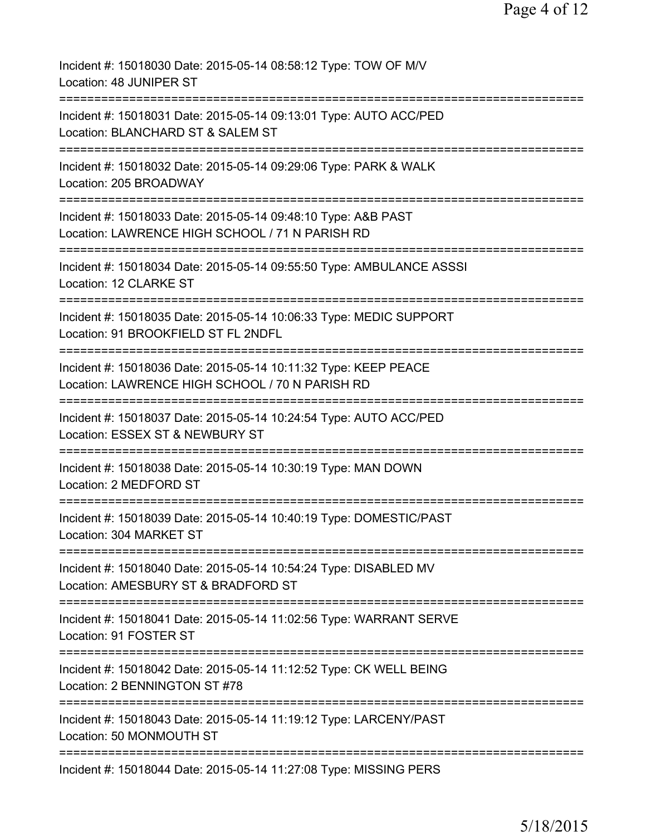| Incident #: 15018030 Date: 2015-05-14 08:58:12 Type: TOW OF M/V<br>Location: 48 JUNIPER ST                                                   |
|----------------------------------------------------------------------------------------------------------------------------------------------|
| Incident #: 15018031 Date: 2015-05-14 09:13:01 Type: AUTO ACC/PED<br>Location: BLANCHARD ST & SALEM ST                                       |
| Incident #: 15018032 Date: 2015-05-14 09:29:06 Type: PARK & WALK<br>Location: 205 BROADWAY                                                   |
| Incident #: 15018033 Date: 2015-05-14 09:48:10 Type: A&B PAST<br>Location: LAWRENCE HIGH SCHOOL / 71 N PARISH RD                             |
| ========================<br>Incident #: 15018034 Date: 2015-05-14 09:55:50 Type: AMBULANCE ASSSI<br>Location: 12 CLARKE ST                   |
| Incident #: 15018035 Date: 2015-05-14 10:06:33 Type: MEDIC SUPPORT<br>Location: 91 BROOKFIELD ST FL 2NDFL                                    |
| Incident #: 15018036 Date: 2015-05-14 10:11:32 Type: KEEP PEACE<br>Location: LAWRENCE HIGH SCHOOL / 70 N PARISH RD                           |
| ====================================<br>Incident #: 15018037 Date: 2015-05-14 10:24:54 Type: AUTO ACC/PED<br>Location: ESSEX ST & NEWBURY ST |
| Incident #: 15018038 Date: 2015-05-14 10:30:19 Type: MAN DOWN<br>Location: 2 MEDFORD ST                                                      |
| Incident #: 15018039 Date: 2015-05-14 10:40:19 Type: DOMESTIC/PAST<br>Location: 304 MARKET ST                                                |
| Incident #: 15018040 Date: 2015-05-14 10:54:24 Type: DISABLED MV<br>Location: AMESBURY ST & BRADFORD ST                                      |
| Incident #: 15018041 Date: 2015-05-14 11:02:56 Type: WARRANT SERVE<br>Location: 91 FOSTER ST                                                 |
| Incident #: 15018042 Date: 2015-05-14 11:12:52 Type: CK WELL BEING<br>Location: 2 BENNINGTON ST #78                                          |
| Incident #: 15018043 Date: 2015-05-14 11:19:12 Type: LARCENY/PAST<br>Location: 50 MONMOUTH ST                                                |
| Incident #: 15018044 Date: 2015-05-14 11:27:08 Type: MISSING PERS                                                                            |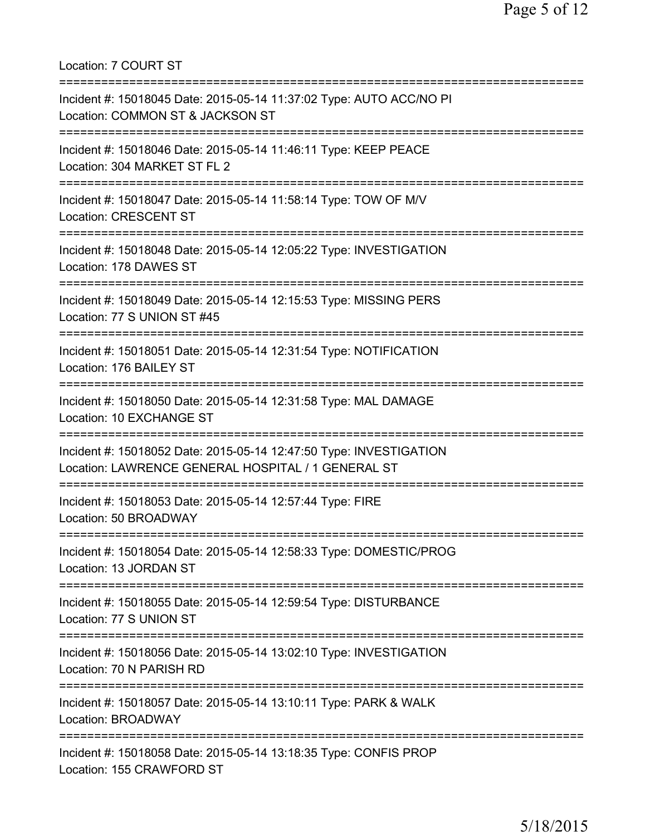Location: 7 COURT ST =========================================================================== Incident #: 15018045 Date: 2015-05-14 11:37:02 Type: AUTO ACC/NO PI Location: COMMON ST & JACKSON ST =========================================================================== Incident #: 15018046 Date: 2015-05-14 11:46:11 Type: KEEP PEACE Location: 304 MARKET ST FL 2 =========================================================================== Incident #: 15018047 Date: 2015-05-14 11:58:14 Type: TOW OF M/V Location: CRESCENT ST =========================================================================== Incident #: 15018048 Date: 2015-05-14 12:05:22 Type: INVESTIGATION Location: 178 DAWES ST =========================================================================== Incident #: 15018049 Date: 2015-05-14 12:15:53 Type: MISSING PERS Location: 77 S UNION ST #45 =========================================================================== Incident #: 15018051 Date: 2015-05-14 12:31:54 Type: NOTIFICATION Location: 176 BAILEY ST =========================================================================== Incident #: 15018050 Date: 2015-05-14 12:31:58 Type: MAL DAMAGE Location: 10 EXCHANGE ST =========================================================================== Incident #: 15018052 Date: 2015-05-14 12:47:50 Type: INVESTIGATION Location: LAWRENCE GENERAL HOSPITAL / 1 GENERAL ST =========================================================================== Incident #: 15018053 Date: 2015-05-14 12:57:44 Type: FIRE Location: 50 BROADWAY =========================================================================== Incident #: 15018054 Date: 2015-05-14 12:58:33 Type: DOMESTIC/PROG Location: 13 JORDAN ST =========================================================================== Incident #: 15018055 Date: 2015-05-14 12:59:54 Type: DISTURBANCE Location: 77 S UNION ST =========================================================================== Incident #: 15018056 Date: 2015-05-14 13:02:10 Type: INVESTIGATION Location: 70 N PARISH RD =========================================================================== Incident #: 15018057 Date: 2015-05-14 13:10:11 Type: PARK & WALK Location: BROADWAY =========================================================================== Incident #: 15018058 Date: 2015-05-14 13:18:35 Type: CONFIS PROP Location: 155 CRAWFORD ST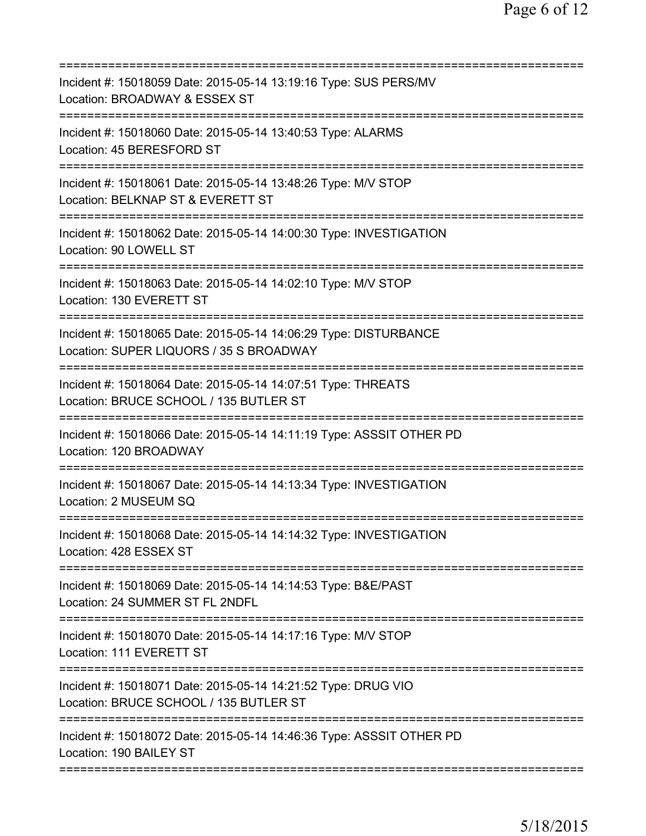| Incident #: 15018059 Date: 2015-05-14 13:19:16 Type: SUS PERS/MV<br>Location: BROADWAY & ESSEX ST           |
|-------------------------------------------------------------------------------------------------------------|
| Incident #: 15018060 Date: 2015-05-14 13:40:53 Type: ALARMS<br>Location: 45 BERESFORD ST                    |
| Incident #: 15018061 Date: 2015-05-14 13:48:26 Type: M/V STOP<br>Location: BELKNAP ST & EVERETT ST          |
| Incident #: 15018062 Date: 2015-05-14 14:00:30 Type: INVESTIGATION<br>Location: 90 LOWELL ST                |
| Incident #: 15018063 Date: 2015-05-14 14:02:10 Type: M/V STOP<br>Location: 130 EVERETT ST                   |
| Incident #: 15018065 Date: 2015-05-14 14:06:29 Type: DISTURBANCE<br>Location: SUPER LIQUORS / 35 S BROADWAY |
| Incident #: 15018064 Date: 2015-05-14 14:07:51 Type: THREATS<br>Location: BRUCE SCHOOL / 135 BUTLER ST      |
| Incident #: 15018066 Date: 2015-05-14 14:11:19 Type: ASSSIT OTHER PD<br>Location: 120 BROADWAY              |
| Incident #: 15018067 Date: 2015-05-14 14:13:34 Type: INVESTIGATION<br>Location: 2 MUSEUM SQ                 |
| Incident #: 15018068 Date: 2015-05-14 14:14:32 Type: INVESTIGATION<br>Location: 428 ESSEX ST                |
| Incident #: 15018069 Date: 2015-05-14 14:14:53 Type: B&E/PAST<br>Location: 24 SUMMER ST FL 2NDFL            |
| Incident #: 15018070 Date: 2015-05-14 14:17:16 Type: M/V STOP<br>Location: 111 EVERETT ST                   |
| Incident #: 15018071 Date: 2015-05-14 14:21:52 Type: DRUG VIO<br>Location: BRUCE SCHOOL / 135 BUTLER ST     |
| Incident #: 15018072 Date: 2015-05-14 14:46:36 Type: ASSSIT OTHER PD<br>Location: 190 BAILEY ST             |
|                                                                                                             |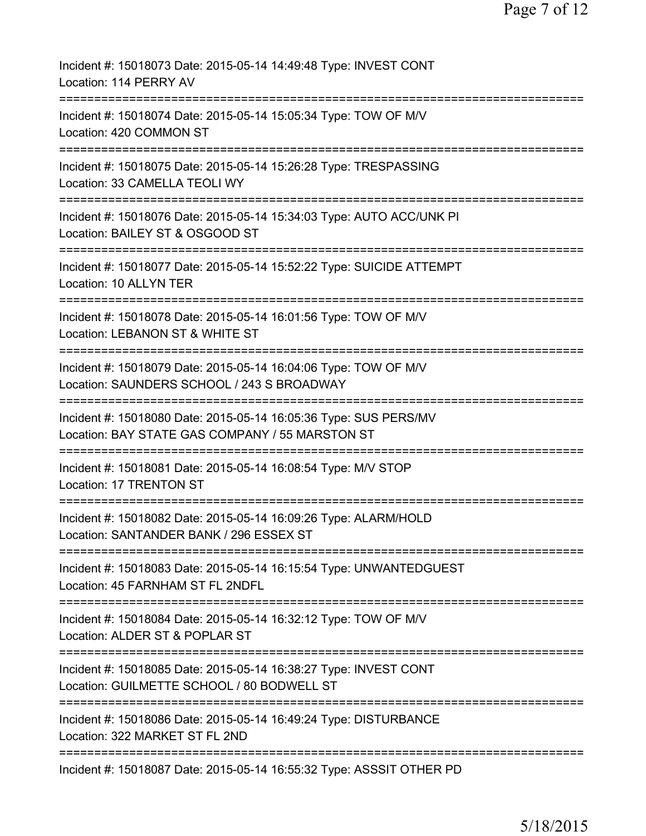| Incident #: 15018073 Date: 2015-05-14 14:49:48 Type: INVEST CONT<br>Location: 114 PERRY AV                                                                                            |
|---------------------------------------------------------------------------------------------------------------------------------------------------------------------------------------|
| Incident #: 15018074 Date: 2015-05-14 15:05:34 Type: TOW OF M/V<br>Location: 420 COMMON ST                                                                                            |
| Incident #: 15018075 Date: 2015-05-14 15:26:28 Type: TRESPASSING<br>Location: 33 CAMELLA TEOLI WY                                                                                     |
| Incident #: 15018076 Date: 2015-05-14 15:34:03 Type: AUTO ACC/UNK PI<br>Location: BAILEY ST & OSGOOD ST                                                                               |
| Incident #: 15018077 Date: 2015-05-14 15:52:22 Type: SUICIDE ATTEMPT<br><b>Location: 10 ALLYN TER</b>                                                                                 |
| Incident #: 15018078 Date: 2015-05-14 16:01:56 Type: TOW OF M/V<br>Location: LEBANON ST & WHITE ST                                                                                    |
| Incident #: 15018079 Date: 2015-05-14 16:04:06 Type: TOW OF M/V<br>Location: SAUNDERS SCHOOL / 243 S BROADWAY                                                                         |
| Incident #: 15018080 Date: 2015-05-14 16:05:36 Type: SUS PERS/MV<br>Location: BAY STATE GAS COMPANY / 55 MARSTON ST                                                                   |
| Incident #: 15018081 Date: 2015-05-14 16:08:54 Type: M/V STOP<br>Location: 17 TRENTON ST                                                                                              |
| Incident #: 15018082 Date: 2015-05-14 16:09:26 Type: ALARM/HOLD<br>Location: SANTANDER BANK / 296 ESSEX ST                                                                            |
| Incident #: 15018083 Date: 2015-05-14 16:15:54 Type: UNWANTEDGUEST<br>Location: 45 FARNHAM ST FL 2NDFL                                                                                |
| Incident #: 15018084 Date: 2015-05-14 16:32:12 Type: TOW OF M/V<br>Location: ALDER ST & POPLAR ST<br>===========================<br>============================<br>================= |
| Incident #: 15018085 Date: 2015-05-14 16:38:27 Type: INVEST CONT<br>Location: GUILMETTE SCHOOL / 80 BODWELL ST                                                                        |
| Incident #: 15018086 Date: 2015-05-14 16:49:24 Type: DISTURBANCE<br>Location: 322 MARKET ST FL 2ND                                                                                    |
| Incident #: 15018087 Date: 2015-05-14 16:55:32 Type: ASSSIT OTHER PD                                                                                                                  |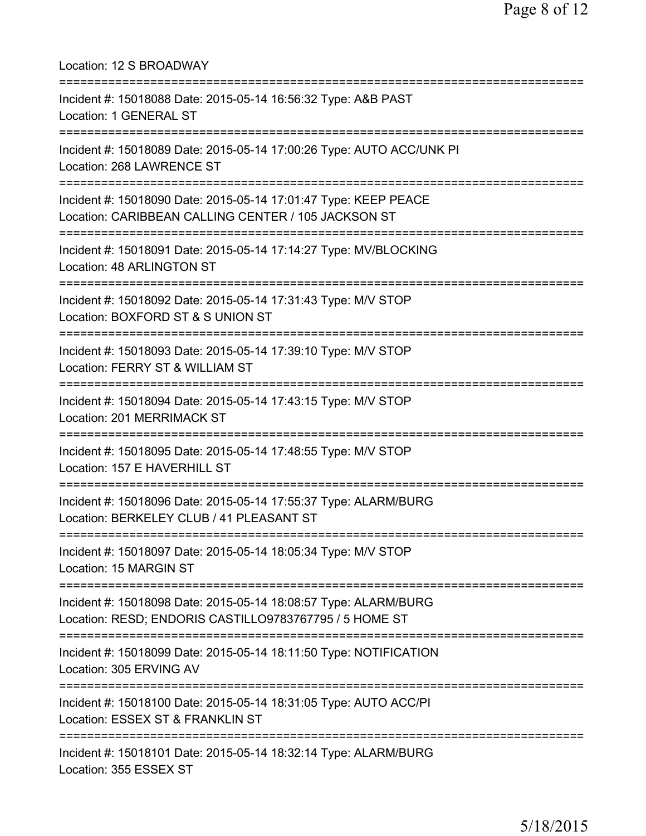| Location: 12 S BROADWAY                                                                                                                       |
|-----------------------------------------------------------------------------------------------------------------------------------------------|
| Incident #: 15018088 Date: 2015-05-14 16:56:32 Type: A&B PAST<br>Location: 1 GENERAL ST                                                       |
| Incident #: 15018089 Date: 2015-05-14 17:00:26 Type: AUTO ACC/UNK PI<br>Location: 268 LAWRENCE ST                                             |
| Incident #: 15018090 Date: 2015-05-14 17:01:47 Type: KEEP PEACE<br>Location: CARIBBEAN CALLING CENTER / 105 JACKSON ST                        |
| Incident #: 15018091 Date: 2015-05-14 17:14:27 Type: MV/BLOCKING<br>Location: 48 ARLINGTON ST                                                 |
| Incident #: 15018092 Date: 2015-05-14 17:31:43 Type: M/V STOP<br>Location: BOXFORD ST & S UNION ST                                            |
| Incident #: 15018093 Date: 2015-05-14 17:39:10 Type: M/V STOP<br>Location: FERRY ST & WILLIAM ST                                              |
| Incident #: 15018094 Date: 2015-05-14 17:43:15 Type: M/V STOP<br>Location: 201 MERRIMACK ST                                                   |
| Incident #: 15018095 Date: 2015-05-14 17:48:55 Type: M/V STOP<br>Location: 157 E HAVERHILL ST                                                 |
| Incident #: 15018096 Date: 2015-05-14 17:55:37 Type: ALARM/BURG<br>Location: BERKELEY CLUB / 41 PLEASANT ST                                   |
| Incident #: 15018097 Date: 2015-05-14 18:05:34 Type: M/V STOP<br>Location: 15 MARGIN ST                                                       |
| Incident #: 15018098 Date: 2015-05-14 18:08:57 Type: ALARM/BURG<br>Location: RESD; ENDORIS CASTILLO9783767795 / 5 HOME ST                     |
| Incident #: 15018099 Date: 2015-05-14 18:11:50 Type: NOTIFICATION<br>Location: 305 ERVING AV                                                  |
| =====================================<br>Incident #: 15018100 Date: 2015-05-14 18:31:05 Type: AUTO ACC/PI<br>Location: ESSEX ST & FRANKLIN ST |
| Incident #: 15018101 Date: 2015-05-14 18:32:14 Type: ALARM/BURG<br>Location: 355 ESSEX ST                                                     |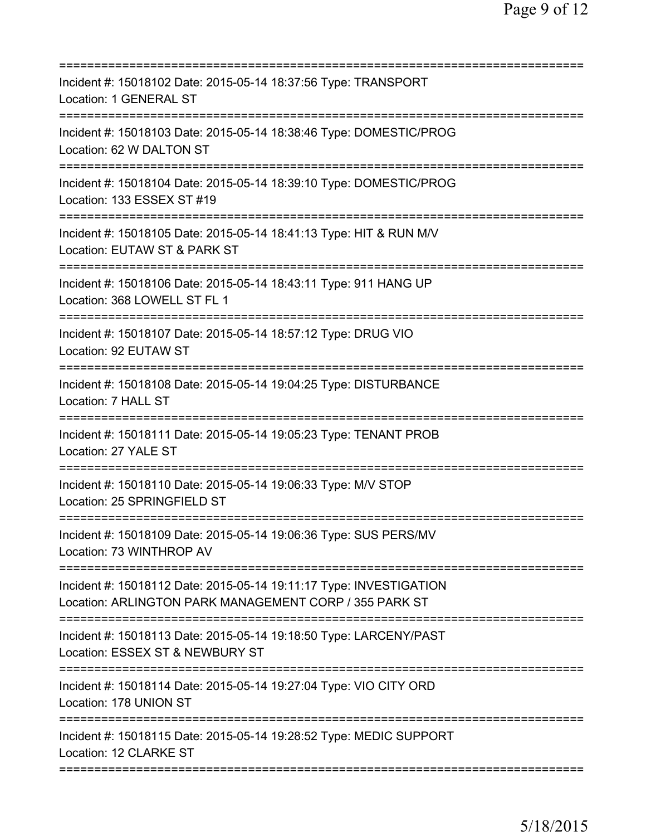| Incident #: 15018102 Date: 2015-05-14 18:37:56 Type: TRANSPORT<br>Location: 1 GENERAL ST                                     |
|------------------------------------------------------------------------------------------------------------------------------|
| Incident #: 15018103 Date: 2015-05-14 18:38:46 Type: DOMESTIC/PROG<br>Location: 62 W DALTON ST                               |
| Incident #: 15018104 Date: 2015-05-14 18:39:10 Type: DOMESTIC/PROG<br>Location: 133 ESSEX ST #19                             |
| Incident #: 15018105 Date: 2015-05-14 18:41:13 Type: HIT & RUN M/V<br>Location: EUTAW ST & PARK ST                           |
| Incident #: 15018106 Date: 2015-05-14 18:43:11 Type: 911 HANG UP<br>Location: 368 LOWELL ST FL 1                             |
| Incident #: 15018107 Date: 2015-05-14 18:57:12 Type: DRUG VIO<br>Location: 92 EUTAW ST                                       |
| Incident #: 15018108 Date: 2015-05-14 19:04:25 Type: DISTURBANCE<br>Location: 7 HALL ST                                      |
| ======================<br>Incident #: 15018111 Date: 2015-05-14 19:05:23 Type: TENANT PROB<br>Location: 27 YALE ST           |
| Incident #: 15018110 Date: 2015-05-14 19:06:33 Type: M/V STOP<br>Location: 25 SPRINGFIELD ST                                 |
| Incident #: 15018109 Date: 2015-05-14 19:06:36 Type: SUS PERS/MV<br>Location: 73 WINTHROP AV                                 |
| Incident #: 15018112 Date: 2015-05-14 19:11:17 Type: INVESTIGATION<br>Location: ARLINGTON PARK MANAGEMENT CORP / 355 PARK ST |
| Incident #: 15018113 Date: 2015-05-14 19:18:50 Type: LARCENY/PAST<br>Location: ESSEX ST & NEWBURY ST                         |
| Incident #: 15018114 Date: 2015-05-14 19:27:04 Type: VIO CITY ORD<br>Location: 178 UNION ST                                  |
| Incident #: 15018115 Date: 2015-05-14 19:28:52 Type: MEDIC SUPPORT<br>Location: 12 CLARKE ST                                 |
|                                                                                                                              |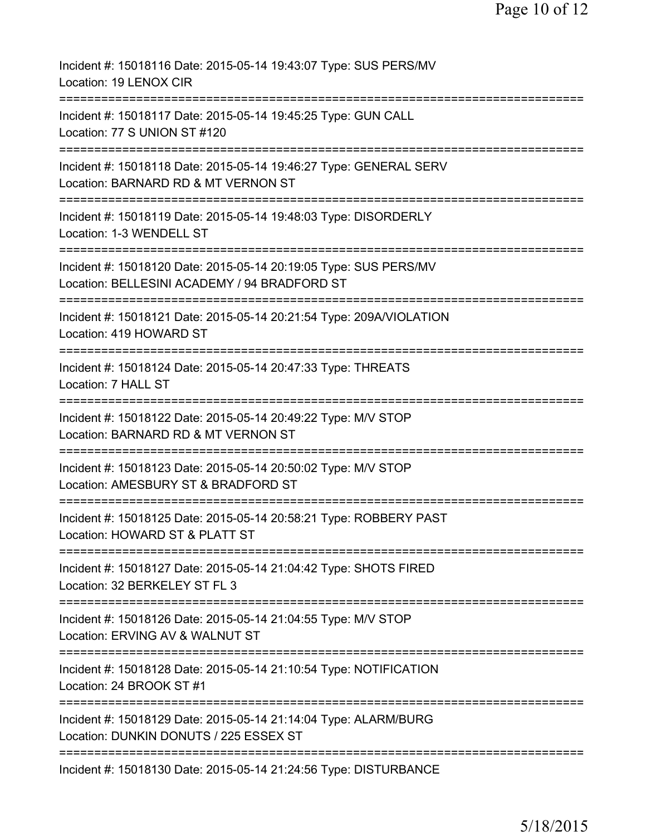| Incident #: 15018116 Date: 2015-05-14 19:43:07 Type: SUS PERS/MV<br>Location: 19 LENOX CIR                               |
|--------------------------------------------------------------------------------------------------------------------------|
| Incident #: 15018117 Date: 2015-05-14 19:45:25 Type: GUN CALL<br>Location: 77 S UNION ST #120                            |
| Incident #: 15018118 Date: 2015-05-14 19:46:27 Type: GENERAL SERV<br>Location: BARNARD RD & MT VERNON ST                 |
| Incident #: 15018119 Date: 2015-05-14 19:48:03 Type: DISORDERLY<br>Location: 1-3 WENDELL ST                              |
| Incident #: 15018120 Date: 2015-05-14 20:19:05 Type: SUS PERS/MV<br>Location: BELLESINI ACADEMY / 94 BRADFORD ST         |
| ======================<br>Incident #: 15018121 Date: 2015-05-14 20:21:54 Type: 209A/VIOLATION<br>Location: 419 HOWARD ST |
| Incident #: 15018124 Date: 2015-05-14 20:47:33 Type: THREATS<br>Location: 7 HALL ST                                      |
| Incident #: 15018122 Date: 2015-05-14 20:49:22 Type: M/V STOP<br>Location: BARNARD RD & MT VERNON ST                     |
| Incident #: 15018123 Date: 2015-05-14 20:50:02 Type: M/V STOP<br>Location: AMESBURY ST & BRADFORD ST                     |
| Incident #: 15018125 Date: 2015-05-14 20:58:21 Type: ROBBERY PAST<br>Location: HOWARD ST & PLATT ST                      |
| Incident #: 15018127 Date: 2015-05-14 21:04:42 Type: SHOTS FIRED<br>Location: 32 BERKELEY ST FL 3                        |
| Incident #: 15018126 Date: 2015-05-14 21:04:55 Type: M/V STOP<br>Location: ERVING AV & WALNUT ST                         |
| Incident #: 15018128 Date: 2015-05-14 21:10:54 Type: NOTIFICATION<br>Location: 24 BROOK ST #1                            |
| Incident #: 15018129 Date: 2015-05-14 21:14:04 Type: ALARM/BURG<br>Location: DUNKIN DONUTS / 225 ESSEX ST                |
| ===========================<br>Incident #: 15018130 Date: 2015-05-14 21:24:56 Type: DISTURBANCE                          |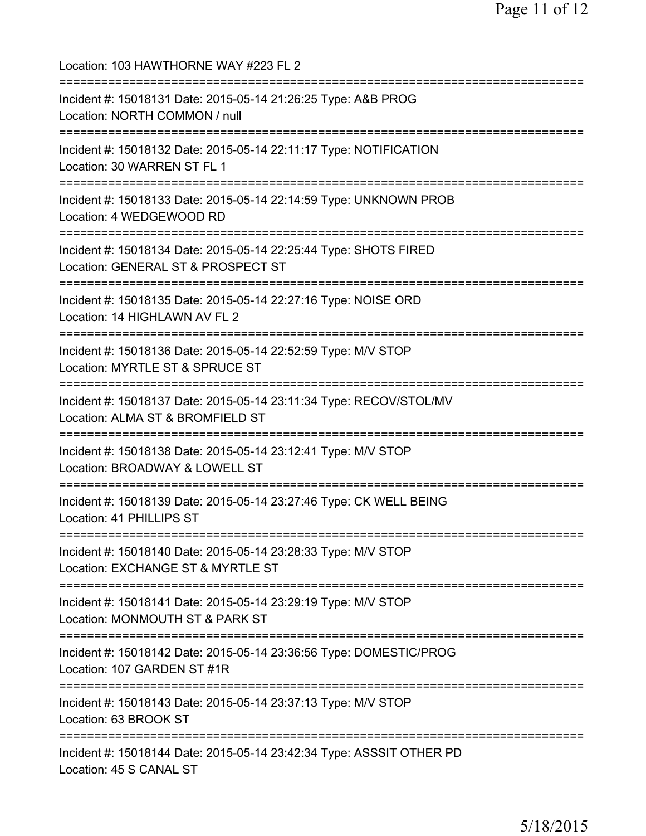Location: 103 HAWTHORNE WAY #223 FL 2 =========================================================================== Incident #: 15018131 Date: 2015-05-14 21:26:25 Type: A&B PROG Location: NORTH COMMON / null =========================================================================== Incident #: 15018132 Date: 2015-05-14 22:11:17 Type: NOTIFICATION Location: 30 WARREN ST FL 1 =========================================================================== Incident #: 15018133 Date: 2015-05-14 22:14:59 Type: UNKNOWN PROB Location: 4 WEDGEWOOD RD =========================================================================== Incident #: 15018134 Date: 2015-05-14 22:25:44 Type: SHOTS FIRED Location: GENERAL ST & PROSPECT ST =========================================================================== Incident #: 15018135 Date: 2015-05-14 22:27:16 Type: NOISE ORD Location: 14 HIGHLAWN AV FL 2 =========================================================================== Incident #: 15018136 Date: 2015-05-14 22:52:59 Type: M/V STOP Location: MYRTLE ST & SPRUCE ST =========================================================================== Incident #: 15018137 Date: 2015-05-14 23:11:34 Type: RECOV/STOL/MV Location: ALMA ST & BROMFIELD ST =========================================================================== Incident #: 15018138 Date: 2015-05-14 23:12:41 Type: M/V STOP Location: BROADWAY & LOWELL ST =========================================================================== Incident #: 15018139 Date: 2015-05-14 23:27:46 Type: CK WELL BEING Location: 41 PHILLIPS ST =========================================================================== Incident #: 15018140 Date: 2015-05-14 23:28:33 Type: M/V STOP Location: EXCHANGE ST & MYRTLE ST =========================================================================== Incident #: 15018141 Date: 2015-05-14 23:29:19 Type: M/V STOP Location: MONMOUTH ST & PARK ST =========================================================================== Incident #: 15018142 Date: 2015-05-14 23:36:56 Type: DOMESTIC/PROG Location: 107 GARDEN ST #1R =========================================================================== Incident #: 15018143 Date: 2015-05-14 23:37:13 Type: M/V STOP Location: 63 BROOK ST =========================================================================== Incident #: 15018144 Date: 2015-05-14 23:42:34 Type: ASSSIT OTHER PD Location: 45 S CANAL ST